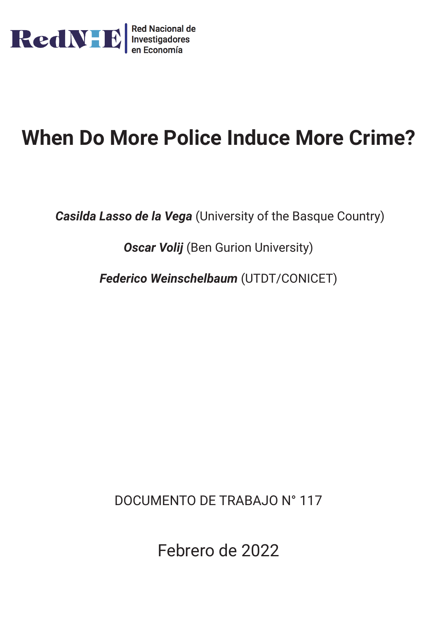

# **When Do More Police Induce More Crime?**

*Casilda Lasso de la Vega* (University of the Basque Country)

**Oscar Volij** (Ben Gurion University)

*Federico Weinschelbaum* (UTDT/CONICET)

DOCUMENTO DE TRABAJO N° 117

Febrero de 2022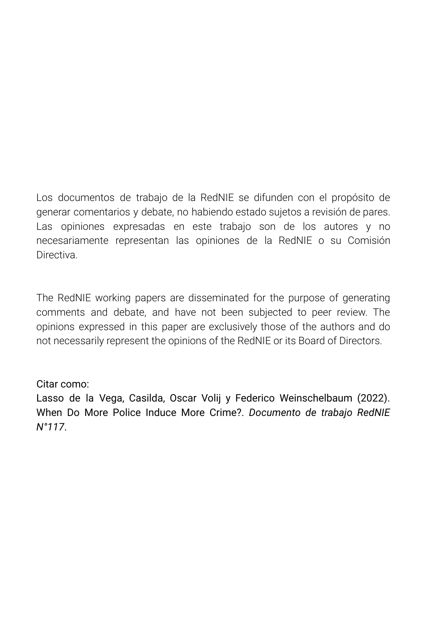Los documentos de trabajo de la RedNIE se difunden con el propósito de generar comentarios y debate, no habiendo estado sujetos a revisión de pares. Las opiniones expresadas en este trabajo son de los autores y no necesariamente representan las opiniones de la RedNIE o su Comisión **Directiva** 

The RedNIE working papers are disseminated for the purpose of generating comments and debate, and have not been subjected to peer review. The opinions expressed in this paper are exclusively those of the authors and do not necessarily represent the opinions of the RedNIE or its Board of Directors.

## Citar como:

Lasso de la Vega, Casilda, Oscar Volij y Federico Weinschelbaum (2022). When Do More Police Induce More Crime?. *Documento de trabajo RedNIE N°117*.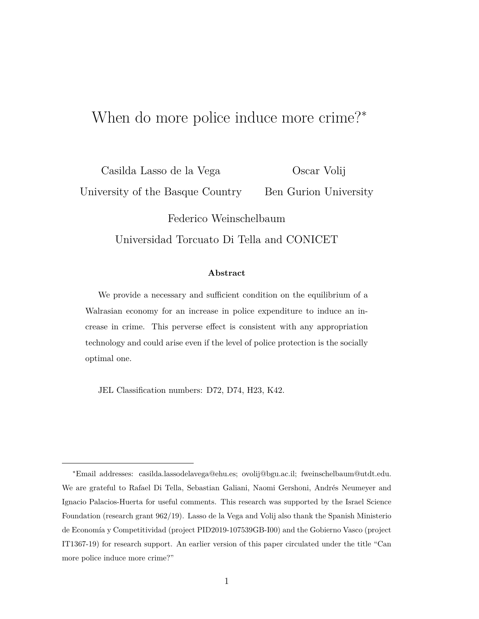## When do more police induce more crime? $*$

Casilda Lasso de la Vega University of the Basque Country Oscar Volij Ben Gurion University

> Federico Weinschelbaum Universidad Torcuato Di Tella and CONICET

#### Abstract

We provide a necessary and sufficient condition on the equilibrium of a Walrasian economy for an increase in police expenditure to induce an increase in crime. This perverse effect is consistent with any appropriation technology and could arise even if the level of police protection is the socially optimal one.

JEL Classification numbers: D72, D74, H23, K42.

<sup>\*</sup>Email addresses: casilda.lassodelavega@ehu.es; ovolij@bgu.ac.il; fweinschelbaum@utdt.edu. We are grateful to Rafael Di Tella, Sebastian Galiani, Naomi Gershoni, Andrés Neumeyer and Ignacio Palacios-Huerta for useful comments. This research was supported by the Israel Science Foundation (research grant  $962/19$ ). Lasso de la Vega and Volij also thank the Spanish Ministerio de Economía y Competitividad (project PID2019-107539GB-I00) and the Gobierno Vasco (project IT1367-19) for research support. An earlier version of this paper circulated under the title "Can more police induce more crime?"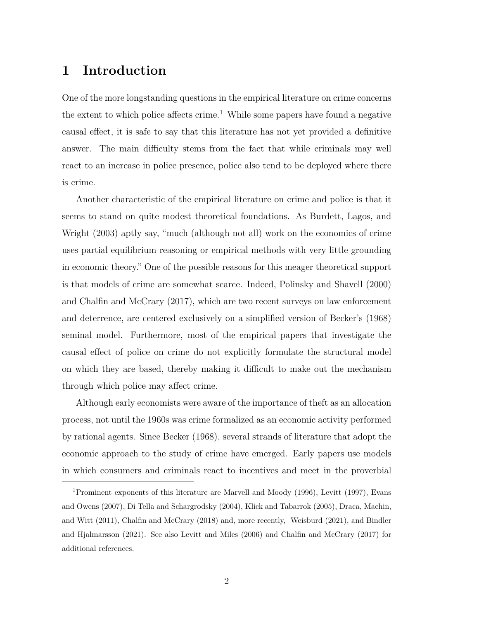## 1 Introduction

One of the more longstanding questions in the empirical literature on crime concerns the extent to which police affects crime.<sup>1</sup> While some papers have found a negative causal effect, it is safe to say that this literature has not yet provided a definitive answer. The main difficulty stems from the fact that while criminals may well react to an increase in police presence, police also tend to be deployed where there is crime.

Another characteristic of the empirical literature on crime and police is that it seems to stand on quite modest theoretical foundations. As Burdett, Lagos, and Wright (2003) aptly say, "much (although not all) work on the economics of crime uses partial equilibrium reasoning or empirical methods with very little grounding in economic theory." One of the possible reasons for this meager theoretical support is that models of crime are somewhat scarce. Indeed, Polinsky and Shavell (2000) and Chalfin and McCrary  $(2017)$ , which are two recent surveys on law enforcement and deterrence, are centered exclusively on a simplified version of Becker's  $(1968)$ seminal model. Furthermore, most of the empirical papers that investigate the causal effect of police on crime do not explicitly formulate the structural model on which they are based, thereby making it difficult to make out the mechanism through which police may affect crime.

Although early economists were aware of the importance of the ft as an allocation process, not until the 1960s was crime formalized as an economic activity performed by rational agents. Since Becker (1968), several strands of literature that adopt the economic approach to the study of crime have emerged. Early papers use models in which consumers and criminals react to incentives and meet in the proverbial

<sup>&</sup>lt;sup>1</sup> Prominent exponents of this literature are Marvell and Moody (1996), Levitt (1997), Evans and Owens (2007), Di Tella and Schargrodsky (2004), Klick and Tabarrok (2005), Draca, Machin, and Witt  $(2011)$ , Chalfin and McCrary  $(2018)$  and, more recently, Weisburd  $(2021)$ , and Bindler and Hjalmarsson (2021). See also Levitt and Miles (2006) and Chalfin and McCrary (2017) for additional references.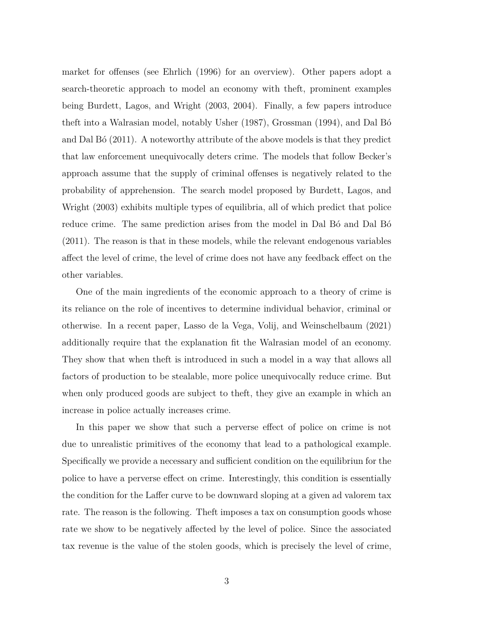market for offenses (see Ehrlich  $(1996)$  for an overview). Other papers adopt a search-theoretic approach to model an economy with the ft, prominent examples being Burdett, Lagos, and Wright  $(2003, 2004)$ . Finally, a few papers introduce theft into a Walrasian model, notably Usher  $(1987)$ , Grossman  $(1994)$ , and Dal Bó and Dal Bó  $(2011)$ . A noteworthy attribute of the above models is that they predict that law enforcement unequivocally deters crime. The models that follow Becker's approach assume that the supply of criminal offenses is negatively related to the probability of apprehension. The search model proposed by Burdett, Lagos, and Wright (2003) exhibits multiple types of equilibria, all of which predict that police reduce crime. The same prediction arises from the model in Dal Bo<sup>2</sup> and Dal Bo<sup>2</sup>  $(2011)$ . The reason is that in these models, while the relevant endogenous variables affect the level of crime, the level of crime does not have any feedback effect on the other variables.

One of the main ingredients of the economic approach to a theory of crime is its reliance on the role of incentives to determine individual behavior, criminal or otherwise. In a recent paper, Lasso de la Vega, Volij, and Weinschelbaum  $(2021)$ additionally require that the explanation fit the Walrasian model of an economy. They show that when the ft is introduced in such a model in a way that allows all factors of production to be stealable, more police unequivocally reduce crime. But when only produced goods are subject to theft, they give an example in which an increase in police actually increases crime.

In this paper we show that such a perverse effect of police on crime is not due to unrealistic primitives of the economy that lead to a pathological example. Specifically we provide a necessary and sufficient condition on the equilibriun for the police to have a perverse effect on crime. Interestingly, this condition is essentially the condition for the Laffer curve to be downward sloping at a given ad valorem tax rate. The reason is the following. The ft imposes a tax on consumption goods whose rate we show to be negatively affected by the level of police. Since the associated tax revenue is the value of the stolen goods, which is precisely the level of crime,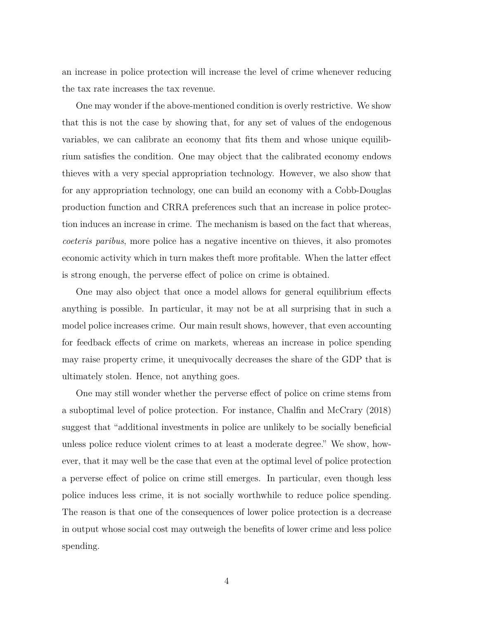an increase in police protection will increase the level of crime whenever reducing the tax rate increases the tax revenue.

One may wonder if the above-mentioned condition is overly restrictive. We show that this is not the case by showing that, for any set of values of the endogenous variables, we can calibrate an economy that fits them and whose unique equilibrium satisfies the condition. One may object that the calibrated economy endows thieves with a very special appropriation technology. However, we also show that for any appropriation technology, one can build an economy with a Cobb-Douglas production function and CRRA preferences such that an increase in police protection induces an increase in crime. The mechanism is based on the fact that whereas, *coeteris paribus*, more police has a negative incentive on thieves, it also promotes economic activity which in turn makes theft more profitable. When the latter effect is strong enough, the perverse effect of police on crime is obtained.

One may also object that once a model allows for general equilibrium effects anything is possible. In particular, it may not be at all surprising that in such a model police increases crime. Our main result shows, however, that even accounting for feedback effects of crime on markets, whereas an increase in police spending may raise property crime, it unequivocally decreases the share of the GDP that is ultimately stolen. Hence, not anything goes.

One may still wonder whether the perverse effect of police on crime stems from a suboptimal level of police protection. For instance, Chalfin and McCrary  $(2018)$ suggest that "additional investments in police are unlikely to be socially beneficial unless police reduce violent crimes to at least a moderate degree." We show, however, that it may well be the case that even at the optimal level of police protection a perverse effect of police on crime still emerges. In particular, even though less police induces less crime, it is not socially worthwhile to reduce police spending. The reason is that one of the consequences of lower police protection is a decrease in output whose social cost may outweigh the benefits of lower crime and less police spending.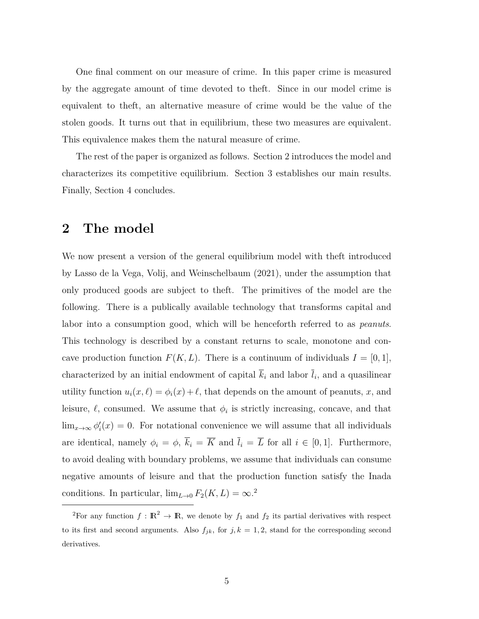One final comment on our measure of crime. In this paper crime is measured by the aggregate amount of time devoted to theft. Since in our model crime is equivalent to theft, an alternative measure of crime would be the value of the stolen goods. It turns out that in equilibrium, these two measures are equivalent. This equivalence makes them the natural measure of crime.

The rest of the paper is organized as follows. Section 2 introduces the model and characterizes its competitive equilibrium. Section 3 establishes our main results. Finally, Section 4 concludes.

## 2 The model

We now present a version of the general equilibrium model with the ft introduced by Lasso de la Vega, Volij, and Weinschelbaum (2021), under the assumption that only produced goods are subject to theft. The primitives of the model are the following. There is a publically available technology that transforms capital and labor into a consumption good, which will be henceforth referred to as *peanuts*. This technology is described by a constant returns to scale, monotone and concave production function  $F(K, L)$ . There is a continuum of individuals  $I = [0, 1],$ characterized by an initial endowment of capital  $\overline{k}_i$  and labor  $\overline{l}_i$ , and a quasilinear utility function  $u_i(x, \ell) = \phi_i(x) + \ell$ , that depends on the amount of peanuts, x, and leisure,  $\ell$ , consumed. We assume that  $\phi_i$  is strictly increasing, concave, and that  $\lim_{x\to\infty} \phi'_i(x) = 0$ . For notational convenience we will assume that all individuals are identical, namely  $\phi_i = \phi$ ,  $\overline{k}_i = \overline{K}$  and  $\overline{l}_i = \overline{L}$  for all  $i \in [0, 1]$ . Furthermore, to avoid dealing with boundary problems, we assume that individuals can consume negative amounts of leisure and that the production function satisfy the Inada conditions. In particular,  $\lim_{L\to 0} F_2(K, L) = \infty^2$ .

<sup>&</sup>lt;sup>2</sup>For any function  $f : \mathbb{R}^2 \to \mathbb{R}$ , we denote by  $f_1$  and  $f_2$  its partial derivatives with respect to its first and second arguments. Also  $f_{jk}$ , for  $j, k = 1, 2$ , stand for the corresponding second derivatives.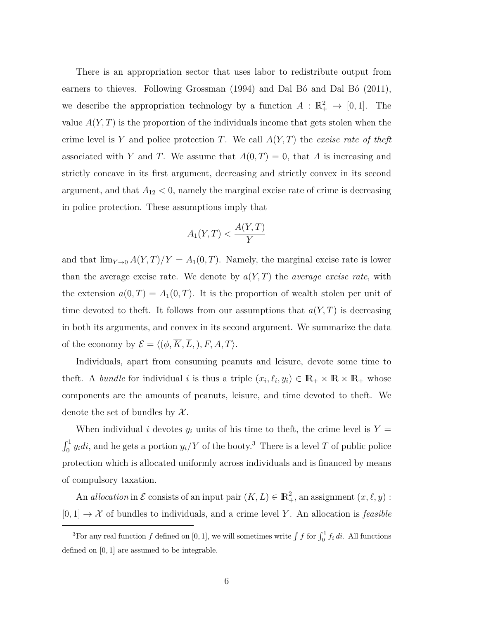There is an appropriation sector that uses labor to redistribute output from earners to thieves. Following Grossman  $(1994)$  and Dal Bó and Dal Bó  $(2011)$ , we describe the appropriation technology by a function  $A: \mathbb{R}_+^2 \to [0,1]$ . The value  $A(Y, T)$  is the proportion of the individuals income that gets stolen when the crime level is Y and police protection T. We call  $A(Y,T)$  the excise rate of the ft associated with Y and T. We assume that  $A(0,T)=0$ , that A is increasing and strictly concave in its first argument, decreasing and strictly convex in its second argument, and that  $A_{12} < 0$ , namely the marginal excise rate of crime is decreasing in police protection. These assumptions imply that

$$
A_1(Y,T) < \frac{A(Y,T)}{Y}
$$

and that  $\lim_{Y\to 0} A(Y,T)/Y = A_1(0,T)$ . Namely, the marginal excise rate is lower than the average excise rate. We denote by  $a(Y,T)$  the *average excise rate*, with the extension  $a(0,T) = A_1(0,T)$ . It is the proportion of wealth stolen per unit of time devoted to theft. It follows from our assumptions that  $a(Y,T)$  is decreasing in both its arguments, and convex in its second argument. We summarize the data of the economy by  $\mathcal{E} = \langle (\phi, \overline{K}, \overline{L}), F, A, T \rangle$ .

Individuals, apart from consuming peanuts and leisure, devote some time to i.eft. A bundle for individual i is thus a triple  $(x_i, \ell_i, y_i) \in \mathbb{R}_+ \times \mathbb{R} \times \mathbb{R}_+$  whose components are the amounts of peanuts, leisure, and time devoted to theft. We denote the set of bundles by  $\mathcal{X}$ .

When individual *i* devotes  $y_i$  units of his time to theft, the crime level is  $Y =$  $\int_0^1 y_i di$ , and he gets a portion  $y_i/Y$  of the booty.<sup>3</sup> There is a level T of public police protection which is allocated uniformly across individuals and is financed by means of compulsory taxation.

An *allocation* in  $\mathcal E$  consists of an input pair  $(K, L) \in \mathbb{R}^2_+$ , an assignment  $(x, \ell, y)$ :  $[0,1] \rightarrow \mathcal{X}$  of bundles to individuals, and a crime level Y. An allocation is *feasible* 

<sup>&</sup>lt;sup>3</sup>For any real function  $f$  defined on [0, 1], we will sometimes write  $\int f$  for  $\int_0^1 f_i \, di$ . All functions defined on  $[0, 1]$  are assumed to be integrable.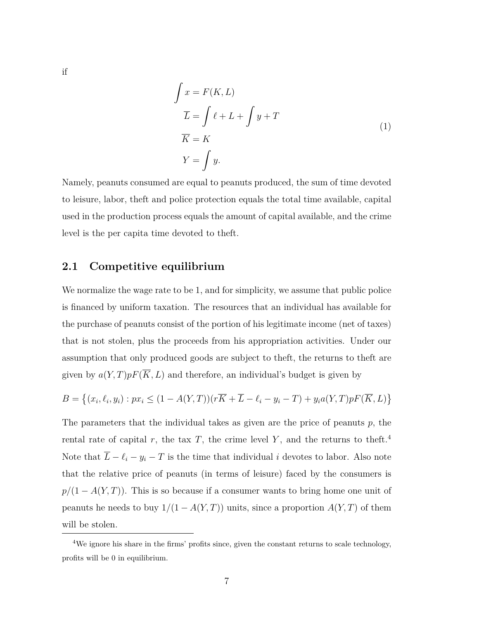$$
\int x = F(K, L)
$$
\n
$$
\overline{L} = \int \ell + L + \int y + T
$$
\n
$$
\overline{K} = K
$$
\n
$$
Y = \int y.
$$
\n(1)

Namely, peanuts consumed are equal to peanuts produced, the sum of time devoted to leisure, labor, theft and police protection equals the total time available, capital used in the production process equals the amount of capital available, and the crime level is the per capita time devoted to theft.

#### **2.1** Competitive equilibrium

We normalize the wage rate to be 1, and for simplicity, we assume that public police is financed by uniform taxation. The resources that an individual has available for the purchase of peanuts consist of the portion of his legitimate income (net of taxes) that is not stolen, plus the proceeds from his appropriation activities. Under our assumption that only produced goods are subject to the t, the returns to the ft are given by  $a(Y,T)pF(\overline{K},L)$  and therefore, an individual's budget is given by

$$
B = \left\{ (x_i, \ell_i, y_i) : px_i \le (1 - A(Y, T))(r\overline{K} + \overline{L} - \ell_i - y_i - T) + y_i a(Y, T)pF(\overline{K}, L) \right\}
$$

The parameters that the individual takes as given are the price of peanuts  $p$ , the rental rate of capital r, the tax T, the crime level Y, and the returns to theft.<sup>4</sup> Note that  $\overline{L} - \ell_i - y_i - T$  is the time that individual *i* devotes to labor. Also note that the relative price of peanuts (in terms of leisure) faced by the consumers is  $p/(1 - A(Y, T))$ . This is so because if a consumer wants to bring home one unit of peanuts he needs to buy  $1/(1 - A(Y, T))$  units, since a proportion  $A(Y, T)$  of them will be stolen.

 $if$ 

<sup>&</sup>lt;sup>4</sup>We ignore his share in the firms' profits since, given the constant returns to scale technology, profits will be 0 in equilibrium.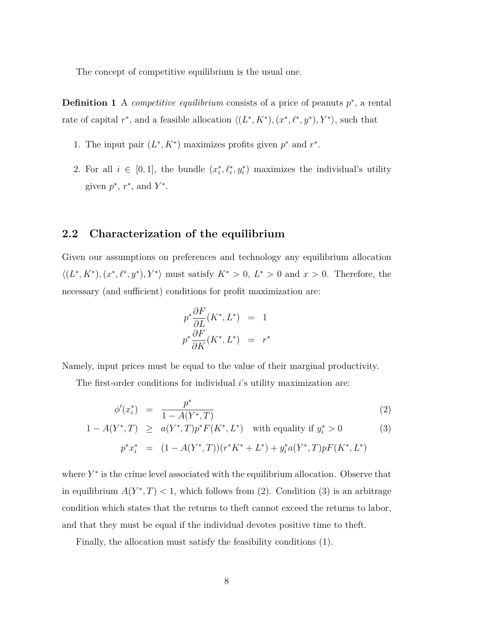The concept of competitive equilibrium is the usual one.

**Definition 1** A *competitive equilibrium* consists of a price of peanuts  $p^*$ , a rental rate of capital  $r^*$ , and a feasible allocation  $\langle (L^*, K^*), (x^*, \ell^*, y^*) , Y^* \rangle$ , such that

- 1. The input pair  $(L^*, K^*)$  maximizes profits given  $p^*$  and  $r^*$ .
- 2. For all  $i \in [0, 1]$ , the bundle  $(x_i^*, \ell_i^*, y_i^*)$  maximizes the individual's utility given  $p^*$ ,  $r^*$ , and  $Y^*$ .

#### **2.2** Characterization of the equilibrium

Given our assumptions on preferences and technology any equilibrium allocation  $\langle (L^*, K^*), (x^*, \ell^*, y^*), Y^* \rangle$  must satisfy  $K^* > 0$ ,  $L^* > 0$  and  $x > 0$ . Therefore, the necessary (and sufficient) conditions for profit maximization are:

$$
p^* \frac{\partial F}{\partial L}(K^*, L^*) = 1
$$
  

$$
p^* \frac{\partial F}{\partial K}(K^*, L^*) = r^*
$$

Namely, input prices must be equal to the value of their marginal productivity.

The first-order conditions for individual *i*'s utility maximization are:

$$
\phi'(x_i^*) = \frac{p^*}{1 - A(Y^*, T)}
$$
\n(2)

$$
1 - A(Y^*, T) \ge a(Y^*, T) p^* F(K^*, L^*) \text{ with equality if } y_i^* > 0
$$
  
\n
$$
p^* x_i^* = (1 - A(Y^*, T))(r^* K^* + L^*) + y_i^* a(Y^*, T) p F(K^*, L^*)
$$
\n(3)

where  $Y^*$  is the crime level associated with the equilibrium allocation. Observe that in equilibrium  $A(Y^*, T) < 1$ , which follows from (2). Condition (3) is an arbitrage condition which states that the returns to the t cannot exceed the returns to labor, and that they must be equal if the individual devotes positive time to the ft.

Finally, the allocation must satisfy the feasibility conditions (1).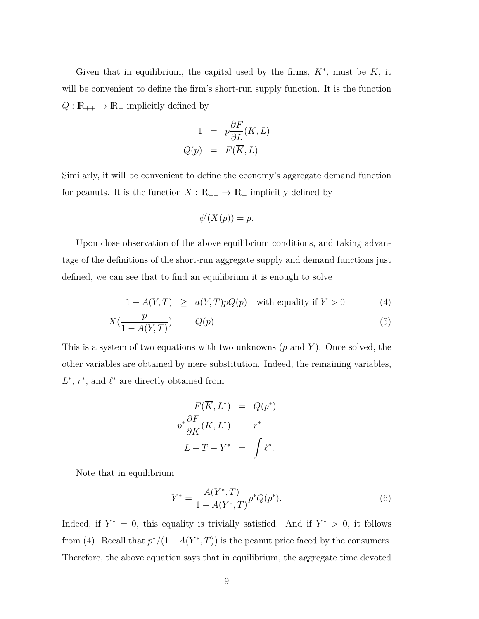Given that in equilibrium, the capital used by the firms,  $K^*$ , must be  $\overline{K}$ , it will be convenient to define the firm's short-run supply function. It is the function  $Q: \mathbb{R}_{++} \to \mathbb{R}_+$  implicitly defined by

$$
1 = p\frac{\partial F}{\partial L}(\overline{K}, L)
$$
  

$$
Q(p) = F(\overline{K}, L)
$$

Similarly, it will be convenient to define the economy's aggregate demand function for peanuts. It is the function  $X : \mathbb{R}_{++} \to \mathbb{R}_+$  implicitly defined by

$$
\phi'(X(p)) = p.
$$

Upon close observation of the above equilibrium conditions, and taking advantage of the definitions of the short-run aggregate supply and demand functions just defined, we can see that to find an equilibrium it is enough to solve

$$
1 - A(Y, T) \ge a(Y, T)pQ(p) \text{ with equality if } Y > 0
$$
 (4)

$$
X\left(\frac{p}{1 - A(Y, T)}\right) = Q(p) \tag{5}
$$

This is a system of two equations with two unknowns  $(p \text{ and } Y)$ . Once solved, the other variables are obtained by mere substitution. Indeed, the remaining variables,  $L^*$ ,  $r^*$ , and  $\ell^*$  are directly obtained from

$$
F(\overline{K}, L^*) = Q(p^*)
$$
  

$$
p^* \frac{\partial F}{\partial K}(\overline{K}, L^*) = r^*
$$
  

$$
\overline{L} - T - Y^* = \int \ell^*.
$$

Note that in equilibrium

$$
Y^* = \frac{A(Y^*, T)}{1 - A(Y^*, T)} p^* Q(p^*).
$$
 (6)

Indeed, if  $Y^* = 0$ , this equality is trivially satisfied. And if  $Y^* > 0$ , it follows from (4). Recall that  $p^*/(1-A(Y^*,T))$  is the peanut price faced by the consumers. Therefore, the above equation says that in equilibrium, the aggregate time devoted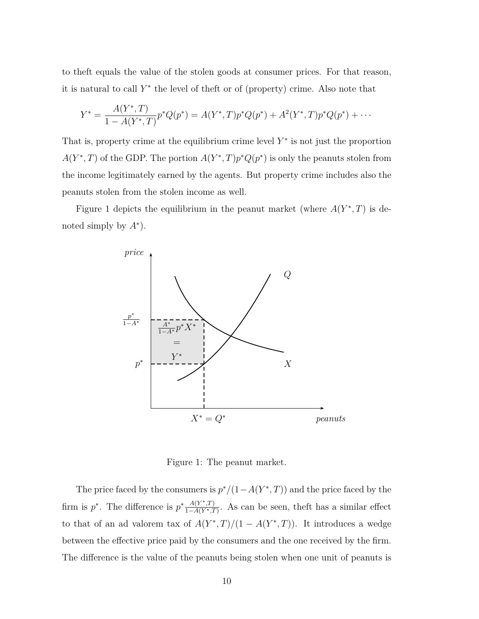to the ft equals the value of the stolen goods at consumer prices. For that reason, it is natural to call  $Y^*$  the level of the ft or of (property) crime. Also note that

$$
Y^* = \frac{A(Y^*,T)}{1 - A(Y^*,T)} p^* Q(p^*) = A(Y^*,T) p^* Q(p^*) + A^2(Y^*,T) p^* Q(p^*) + \cdots
$$

That is, property crime at the equilibrium crime level  $Y^*$  is not just the proportion  $A(Y^*,T)$  of the GDP. The portion  $A(Y^*,T)p^*Q(p^*)$  is only the peanuts stolen from the income legitimately earned by the agents. But property crime includes also the peanuts stolen from the stolen income as well.

Figure 1 depicts the equilibrium in the peanut market (where  $A(Y^*,T)$  is denoted simply by  $A^*$ ).



Figure 1: The peanut market.

The price faced by the consumers is  $p^*/(1-A(Y^*,T))$  and the price faced by the firm is  $p^*$ . The difference is  $p^* \frac{A(Y^*,T)}{1-A(Y^*,T)}$ . As can be seen, theft has a similar effect to that of an ad valorem tax of  $A(Y^*,T)/(1 - A(Y^*,T))$ . It introduces a wedge between the effective price paid by the consumers and the one received by the firm. The difference is the value of the peanuts being stolen when one unit of peanuts is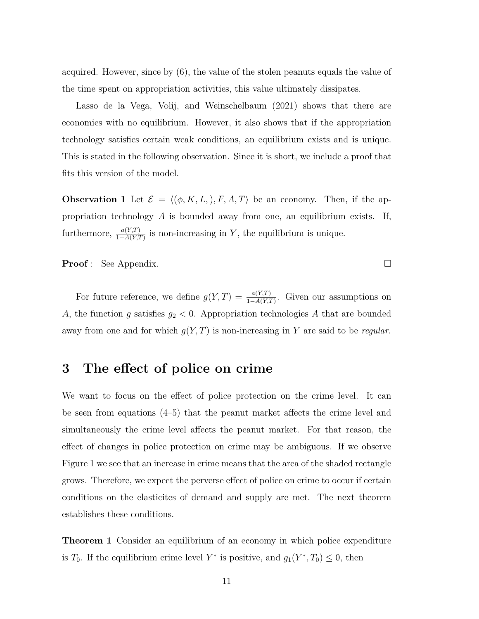acquired. However, since by  $(6)$ , the value of the stolen peanuts equals the value of the time spent on appropriation activities, this value ultimately dissipates.

Lasso de la Vega, Volij, and Weinschelbaum  $(2021)$  shows that there are economies with no equilibrium. However, it also shows that if the appropriation technology satisfies certain weak conditions, an equilibrium exists and is unique. This is stated in the following observation. Since it is short, we include a proof that fits this version of the model.

**Phase** *R* **E**  $\mathcal{E} = \langle (\phi, \overline{K}, \overline{L}), F, A, T \rangle$  be an economy. Then, if the appropriation technology *A* is bounded away from one, an equilibrium exists. If, furthermore,  $\frac{a(Y,T)}{1-A(Y,T)}$  is non-increasing in Y, the equilibrium is unique.

**Proof**: See Appendix.  $\Box$ 

For future reference, we define  $g(Y,T) = \frac{a(Y,T)}{1-A(Y,T)}$ . Given our assumptions on *A*, the function *g* satisfies  $g_2 < 0$ . Appropriation technologies *A* that are bounded away from one and for which  $g(Y, T)$  is non-increasing in Y are said to be *regular*.

## **3** The effect of police on crime

We want to focus on the effect of police protection on the crime level. It can be seen from equations  $(4-5)$  that the peanut market affects the crime level and simultaneously the crime level affects the peanut market. For that reason, the effect of changes in police protection on crime may be ambiguous. If we observe Figure 1 we see that an increase in crime means that the area of the shaded rectangle grows. Therefore, we expect the perverse effect of police on crime to occur if certain conditions on the elasticites of demand and supply are met. The next theorem establishes these conditions.

**Theorem 1** Consider an equilibrium of an economy in which police expenditure is *T*<sub>0</sub>. If the equilibrium crime level  $Y^*$  is positive, and  $g_1(Y^*, T_0) \leq 0$ , then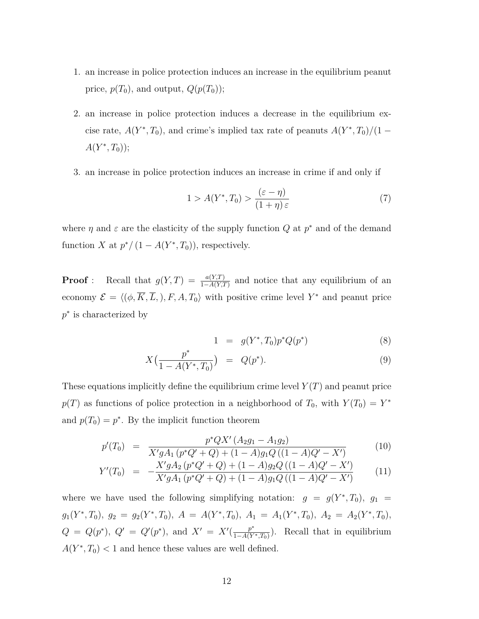- 1. A an increase in police protection induces an increase in the equilibrium peanut price,  $p(T_0)$ , and output,  $Q(p(T_0))$ ;
- 2. an increase in police protection induces a decrease in the equilibrium excise rate,  $A(Y^*, T_0)$ , and crime's implied tax rate of peanuts  $A(Y^*, T_0)/(1 A(Y^*,T_0)$ ;
- 3. an increase in police protection induces an increase in crime if and only if

$$
1 > A(Y^*, T_0) > \frac{(\varepsilon - \eta)}{(1 + \eta)\varepsilon} \tag{7}
$$

where  $\eta$  and  $\varepsilon$  are the elasticity of the supply function  $Q$  at  $p^*$  and of the demand function *X* at  $p^*/(1 - A(Y^*, T_0))$ , respectively.

**Proof**: Recall that  $g(Y,T) = \frac{a(Y,T)}{1-A(Y,T)}$  and notice that any equilibrium of an economy  $\mathcal{E} = \langle (\phi, \overline{K}, \overline{L}), F, A, T_0 \rangle$  with positive crime level  $Y^*$  and peanut price  $p^*$  is characterized by

$$
1 = g(Y^*, T_0) p^* Q(p^*)
$$
\n(8)

$$
X\left(\frac{p^*}{1 - A(Y^*, T_0)}\right) = Q(p^*).
$$
\n(9)

These equations implicitly define the equilibrium crime level  $Y(T)$  and peanut price  $p(T)$  as functions of police protection in a neighborhood of  $T_0$ , with  $Y(T_0) = Y^*$ and  $p(T_0) = p^*$ . By the implicit function theorem

$$
p'(T_0) = \frac{p^*QX'(A_2g_1 - A_1g_2)}{X'gA_1(p^*Q' + Q) + (1 - A)g_1Q((1 - A)Q' - X')} \tag{10}
$$

$$
Y'(T_0) = -\frac{X'gA_2(p^*Q'+Q) + (1-A)g_2Q((1-A)Q'-X')}{X'gA_1(p^*Q'+Q) + (1-A)g_1Q((1-A)Q'-X')} \tag{11}
$$

where we have used the following simplifying notation:  $g = g(Y^*, T_0)$ ,  $g_1 = g(T^*, T_0)$  $g_1(Y^*, T_0), g_2 = g_2(Y^*, T_0), A = A(Y^*, T_0), A_1 = A_1(Y^*, T_0), A_2 = A_2(Y^*, T_0),$  $Q = Q(p^*), Q' = Q'(p^*), \text{ and } X' = X'(\frac{p^*}{1-A(Y^*,T_0)})$ . Recall that in equilibrium  $A(Y^*, T_0)$  < 1 and hence these values are well defined.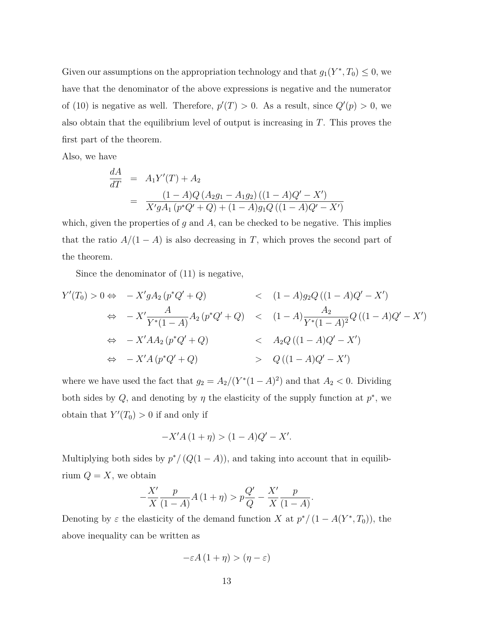Given our assumptions on the appropriation technology and that  $g_1(Y^*, T_0) \leq 0$ , we have that the denominator of the above expressions is negative and the numerator of (10) is negative as well. Therefore,  $p'(T) > 0$ . As a result, since  $Q'(p) > 0$ , we also obtain that the equilibrium level of output is increasing in  $T$ . This proves the first part of the theorem.

Also, we have

$$
\frac{dA}{dT} = A_1 Y'(T) + A_2
$$
\n
$$
= \frac{(1 - A)Q (A_2 g_1 - A_1 g_2) ((1 - A)Q' - X')}{X' g A_1 (p^* Q' + Q) + (1 - A) g_1 Q ((1 - A)Q' - X')}
$$

which, given the properties of  $g$  and  $A$ , can be checked to be negative. This implies that the ratio  $A/(1 - A)$  is also decreasing in *T*, which proves the second part of the theorem.

Since the denominator of  $(11)$  is negative,

$$
Y'(T_0) > 0 \Leftrightarrow -X'gA_2(p^*Q' + Q) < (1 - A)g_2Q((1 - A)Q' - X')
$$
  
\n
$$
\Leftrightarrow -X'\frac{A}{Y^*(1 - A)}A_2(p^*Q' + Q) < (1 - A)\frac{A_2}{Y^*(1 - A)^2}Q((1 - A)Q' - X')
$$
  
\n
$$
\Leftrightarrow -X'AA_2(p^*Q' + Q) < A_2Q((1 - A)Q' - X')
$$
  
\n
$$
\Leftrightarrow -X'A(p^*Q' + Q) > Q((1 - A)Q' - X')
$$

where we have used the fact that  $g_2 = A_2/(Y^*(1 - A)^2)$  and that  $A_2 < 0$ . Dividing both sides by *Q*, and denoting by  $\eta$  the elasticity of the supply function at  $p^*$ , we obtain that  $Y'(T_0) > 0$  if and only if

$$
-X'A(1+\eta) > (1-A)Q' - X'.
$$

Multiplying both sides by  $p^*/(Q(1 - A))$ , and taking into account that in equilibrium  $Q = X$ , we obtain

$$
-\frac{X'}{X}\frac{p}{(1-A)}A(1+\eta) > p\frac{Q'}{Q} - \frac{X'}{X}\frac{p}{(1-A)}.
$$

Denoting by  $\varepsilon$  the elasticity of the demand function X at  $p^*/(1 - A(Y^*, T_0))$ , the above inequality can be written as

$$
-\varepsilon A\left(1+\eta\right) > \left(\eta - \varepsilon\right)
$$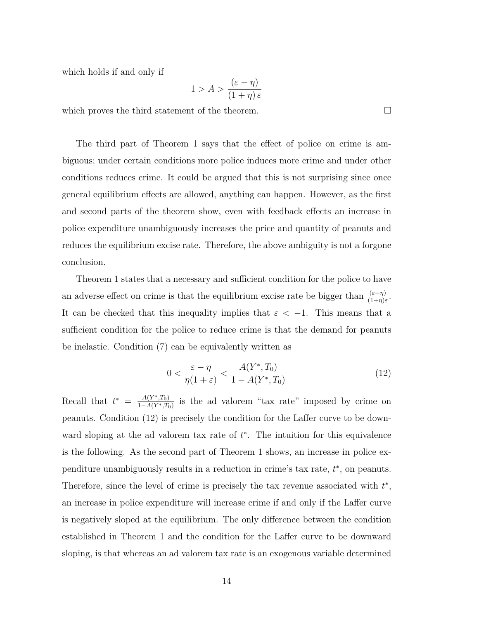which holds if and only if

$$
1 > A > \frac{(\varepsilon - \eta)}{(1 + \eta)\varepsilon}
$$

which proves the third statement of the theorem.  $\Box$ 

The third part of Theorem 1 says that the effect of police on crime is ambiguous; under certain conditions more police induces more crime and under other conditions reduces crime. It could be argued that this is not surprising since once general equilibrium effects are allowed, anything can happen. However, as the first and second parts of the theorem show, even with feedback effects an increase in police expenditure unambiguously increases the price and quantity of peanuts and reduces the equilibrium excise rate. Therefore, the above ambiguity is not a forgone conclusion.

Theorem 1 states that a necessary and sufficient condition for the police to have an adverse effect on crime is that the equilibrium excise rate be bigger than  $\frac{(\varepsilon - \eta)}{(1+\eta)\varepsilon}$ . It can be checked that this inequality implies that  $\varepsilon < -1$ . This means that a sufficient condition for the police to reduce crime is that the demand for peanuts be inelastic. Condition  $(7)$  can be equivalently written as

$$
0 < \frac{\varepsilon - \eta}{\eta(1 + \varepsilon)} < \frac{A(Y^*, T_0)}{1 - A(Y^*, T_0)}\tag{12}
$$

Recall that  $t^* = \frac{A(Y^*, T_0)}{1 - A(Y^*, T_0)}$  is the ad valorem "tax rate" imposed by crime on peanuts. Condition  $(12)$  is precisely the condition for the Laffer curve to be downward sloping at the ad valorem tax rate of  $t^*$ . The intuition for this equivalence is the following. As the second part of Theorem 1 shows, an increase in police expenditure unambiguously results in a reduction in crime's tax rate,  $t^*$ , on peanuts. Therefore, since the level of crime is precisely the tax revenue associated with  $t^*$ , an increase in police expenditure will increase crime if and only if the Laffer curve is negatively sloped at the equilibrium. The only difference between the condition established in Theorem 1 and the condition for the Laffer curve to be downward sloping, is that whereas an ad valorem tax rate is an exogenous variable determined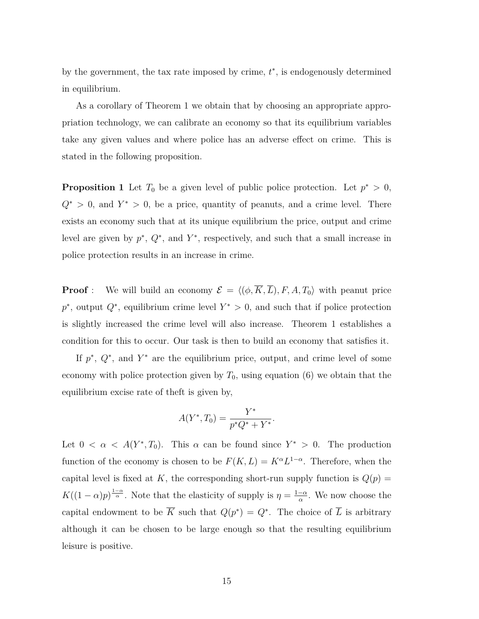by the government, the tax rate imposed by crime,  $t^*$ , is endogenously determined in equilibrium.

As a corollary of Theorem 1 we obtain that by choosing an appropriate appropriation technology, we can calibrate an economy so that its equilibrium variables take any given values and where police has an adverse effect on crime. This is stated in the following proposition.

**Proposition 1** Let  $T_0$  be a given level of public police protection. Let  $p^* > 0$ ,  $Q^*$  > 0, and  $Y^*$  > 0, be a price, quantity of peanuts, and a crime level. There exists an economy such that at its unique equilibrium the price, output and crime level are given by  $p^*$ ,  $Q^*$ , and  $Y^*$ , respectively, and such that a small increase in police protection results in an increase in crime.

**Proof**: We will build an economy  $\mathcal{E} = \langle (\phi, \overline{K}, \overline{L}), F, A, T_0 \rangle$  with peanut price  $p^*$ , output  $Q^*$ , equilibrium crime level  $Y^* > 0$ , and such that if police protection is slightly increased the crime level will also increase. Theorem 1 establishes a condition for this to occur. Our task is then to build an economy that satisfies it.

If  $p^*, Q^*,$  and  $Y^*$  are the equilibrium price, output, and crime level of some economy with police protection given by  $T_0$ , using equation (6) we obtain that the equilibrium excise rate of theft is given by,

$$
A(Y^*, T_0) = \frac{Y^*}{p^*Q^* + Y^*}.
$$

Let  $0 < \alpha < A(Y^*, T_0)$ . This  $\alpha$  can be found since  $Y^* > 0$ . The production function of the economy is chosen to be  $F(K, L) = K^{\alpha}L^{1-\alpha}$ . Therefore, when the capital level is fixed at K, the corresponding short-run supply function is  $Q(p)$  =  $K((1-\alpha)p)^{\frac{1-\alpha}{\alpha}}$ . Note that the elasticity of supply is  $\eta = \frac{1-\alpha}{\alpha}$ . We now choose the capital endowment to be  $\overline{K}$  such that  $Q(p^*) = Q^*$ . The choice of  $\overline{L}$  is arbitrary although it can be chosen to be large enough so that the resulting equilibrium leisure is positive.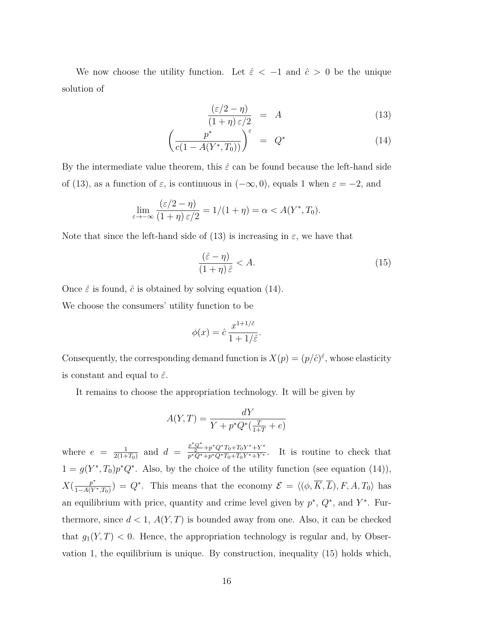We now choose the utility function. Let  $\hat{\varepsilon}$  < -1 and  $\hat{c}$  > 0 be the unique solution of

$$
\frac{(\varepsilon/2 - \eta)}{(1 + \eta)\varepsilon/2} = A \tag{13}
$$

$$
\left(\frac{p^*}{c(1 - A(Y^*, T_0))}\right)^{\varepsilon} = Q^* \tag{14}
$$

By the intermediate value theorem, this  $\hat{\varepsilon}$  can be found because the left-hand side of (13), as a function of  $\varepsilon$ , is continuous in  $(-\infty, 0)$ , equals 1 when  $\varepsilon = -2$ , and

$$
\lim_{\varepsilon \to -\infty} \frac{(\varepsilon/2 - \eta)}{(1 + \eta)\varepsilon/2} = 1/(1 + \eta) = \alpha < A(Y^*, T_0).
$$

Note that since the left-hand side of (13) is increasing in  $\varepsilon$ , we have that

$$
\frac{(\hat{\varepsilon} - \eta)}{(1 + \eta)\,\hat{\varepsilon}} < A. \tag{15}
$$

Once  $\hat{\varepsilon}$  is found,  $\hat{c}$  is obtained by solving equation (14).

We choose the consumers' utility function to be

$$
\phi(x) = \hat{c} \frac{x^{1+1/\hat{\varepsilon}}}{1+1/\hat{\varepsilon}}.
$$

Consequently, the corresponding demand function is  $X(p) = (p/\hat{c})^{\hat{\varepsilon}}$ , whose elasticity is constant and equal to  $\hat{\varepsilon}$ .

It remains to choose the appropriation technology. It will be given by

$$
A(Y,T) = \frac{dY}{Y + p^*Q^*(\frac{T}{1+T} + e)}
$$

where  $e = \frac{1}{2(1+T_0)}$  and  $d = \frac{\frac{p^*Q^*}{2} + p^*Q^*T_0 + T_0Y^* + Y^*}{p^*Q^* + p^*Q^*T_0 + T_0Y^* + Y^*}$ . It is routine to check that  $1 = g(Y^*, T_0)p^*Q^*$ . Also, by the choice of the utility function (see equation (14)),  $X(\frac{p^*}{1-A(Y^*,T_0)}) = Q^*$ . This means that the economy  $\mathcal{E} = \langle (\phi, \overline{K}, \overline{L}), F, A, T_0 \rangle$  has an equilibrium with price, quantity and crime level given by  $p^*, Q^*$ , and  $Y^*$ . Furthermore, since  $d < 1$ ,  $A(Y, T)$  is bounded away from one. Also, it can be checked that  $g_1(Y, T) < 0$ . Hence, the appropriation technology is regular and, by Observation 1, the equilibrium is unique. By construction, inequality  $(15)$  holds which,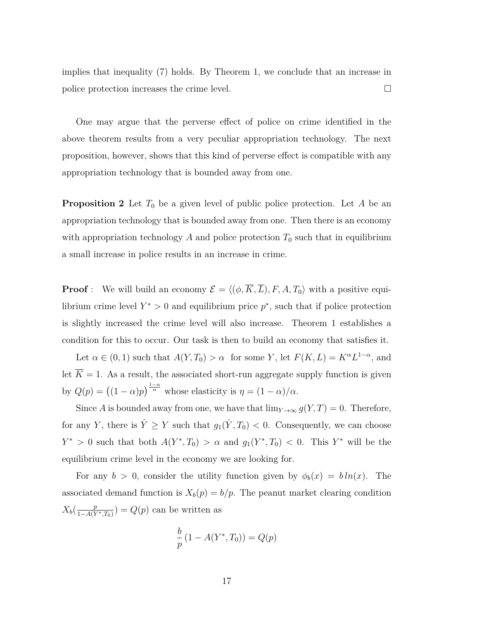implies that inequality  $(7)$  holds. By Theorem 1, we conclude that an increase in police protection increases the crime level.  $\Box$ 

One may argue that the perverse effect of police on crime identified in the above theorem results from a very peculiar appropriation technology. The next proposition, however, shows that this kind of perverse effect is compatible with any appropriation technology that is bounded away from one.

**Proposition 2** Let  $T_0$  be a given level of public police protection. Let A be an appropriation technology that is bounded away from one. Then there is an economy with appropriation technology  $A$  and police protection  $T_0$  such that in equilibrium a small increase in police results in an increase in crime.

**Proof**: We will build an economy  $\mathcal{E} = \langle (\phi, \overline{K}, \overline{L}), F, A, T_0 \rangle$  with a positive equilibrium crime level  $Y^* > 0$  and equilibrium price  $p^*$ , such that if police protection is slightly increased the crime level will also increase. Theorem 1 establishes a condition for this to occur. Our task is then to build an economy that satisfies it.

Let  $\alpha \in (0, 1)$  such that  $A(Y, T_0) > \alpha$  for some Y, let  $F(K, L) = K^{\alpha}L^{1-\alpha}$ , and let  $\overline{K} = 1$ . As a result, the associated short-run aggregate supply function is given by  $Q(p) = ((1 - \alpha)p)^{\frac{1-\alpha}{\alpha}}$  whose elasticity is  $\eta = (1 - \alpha)/\alpha$ .

Since *A* is bounded away from one, we have that  $\lim_{Y\to\infty} g(Y,T)=0$ . Therefore, for any *Y*, there is  $\hat{Y} \geq Y$  such that  $g_1(\hat{Y}, T_0) < 0$ . Consequently, we can choose *Y*<sup>\*</sup> > 0 such that both  $A(Y^*, T_0) > \alpha$  and  $g_1(Y^*, T_0) < 0$ . This *Y*<sup>\*</sup> will be the equilibrium crime level in the economy we are looking for.

For any  $b > 0$ , consider the utility function given by  $\phi_b(x) = b \ln(x)$ . The associated demand function is  $X_b(p) = b/p$ . The peanut market clearing condition  $X_b(\frac{p}{1-A(Y^*,T_0)}) = Q(p)$  can be written as

$$
\frac{b}{p} (1 - A(Y^*, T_0)) = Q(p)
$$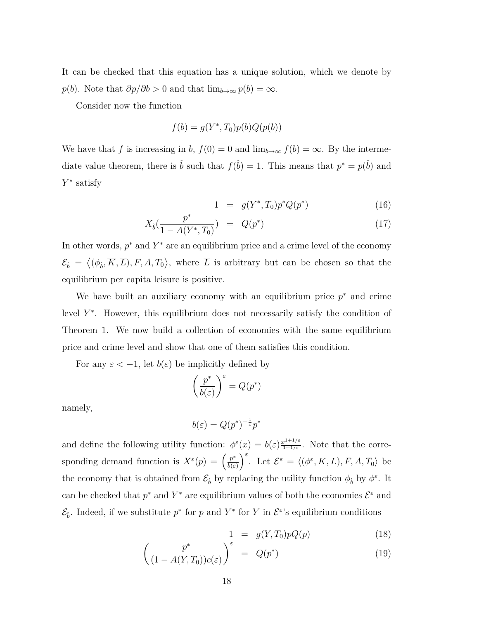It can be checked that this equation has a unique solution, which we denote by *p*(*b*). Note that  $\partial p/\partial b > 0$  and that  $\lim_{b\to\infty} p(b) = \infty$ .

Consider now the function

$$
f(b) = g(Y^*, T_0)p(b)Q(p(b))
$$

We have that f is increasing in b,  $f(0) = 0$  and  $\lim_{b\to\infty} f(b) = \infty$ . By the intermediate value theorem, there is  $\hat{b}$  such that  $f(\hat{b})=1$ . This means that  $p^* = p(\hat{b})$  and *Y*<sup>∗</sup> satisfy

$$
1 = g(Y^*, T_0) p^* Q(p^*) \tag{16}
$$

$$
X_{\hat{b}}(\frac{p^*}{1 - A(Y^*, T_0)}) = Q(p^*)
$$
\n(17)

In other words,  $p^*$  and  $Y^*$  are an equilibrium price and a crime level of the economy  $\mathcal{E}_{\hat{b}} = \langle (\phi_{\hat{b}}, \overline{K}, \overline{L}), F, A, T_0 \rangle$ , where  $\overline{L}$  is arbitrary but can be chosen so that the equilibrium per capita leisure is positive.

We have built an auxiliary economy with an equilibrium price  $p^*$  and crime level  $Y^*$ . However, this equilibrium does not necessarily satisfy the condition of Theorem 1. We now build a collection of economies with the same equilibrium price and crime level and show that one of them satisfies this condition.

For any  $\varepsilon < -1$ , let  $b(\varepsilon)$  be implicitly defined by

$$
\left(\frac{p^*}{b(\varepsilon)}\right)^{\varepsilon} = Q(p^*)
$$

namely,

 $b(\varepsilon) = Q(p^*)^{-\frac{1}{\varepsilon}}p^*$ 

and define the following utility function:  $\phi^{\varepsilon}(x) = b(\varepsilon) \frac{x^{1+1/\varepsilon}}{1+1/\varepsilon}$ . Note that the corresponding demand function is  $X^{\varepsilon}(p) = \left(\frac{p^*}{b(\varepsilon)}\right)$  $\int_{c}^{\varepsilon}$ . Let  $\mathcal{E}^{\varepsilon} = \langle (\phi^{\varepsilon}, \overline{K}, \overline{L}), F, A, T_0 \rangle$  be the economy that is obtained from  $\mathcal{E}_{\hat{b}}$  by replacing the utility function  $\phi_{\hat{b}}$  by  $\phi^{\varepsilon}$ . It can be checked that  $p^*$  and  $Y^*$  are equilibrium values of both the economies  $\mathcal{E}^{\varepsilon}$  and  $\mathcal{E}_{\hat{b}}$ . Indeed, if we substitute  $p^*$  for  $p$  and  $Y^*$  for  $Y$  in  $\mathcal{E}^{\varepsilon}$ 's equilibrium conditions

$$
1 = g(Y, T_0)pQ(p) \qquad (18)
$$

$$
\left(\frac{p^*}{(1-A(Y,T_0))c(\varepsilon)}\right)^{\varepsilon} = Q(p^*)
$$
\n(19)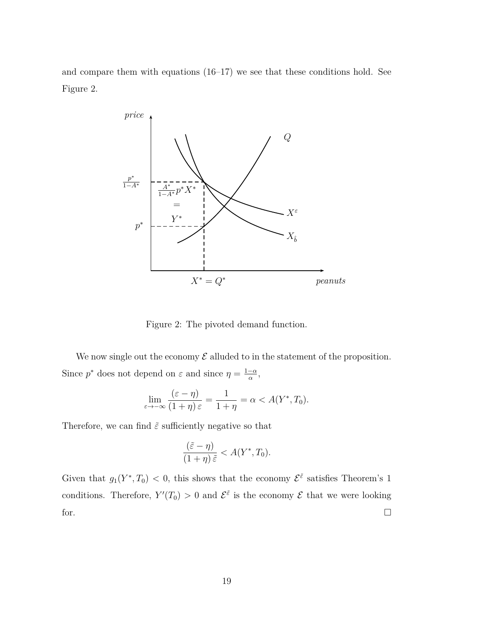and compare them with equations  $(16-17)$  we see that these conditions hold. See Figure 2.



Figure 2: The pivoted demand function.

We now single out the economy  $\mathcal E$  alluded to in the statement of the proposition. Since  $p^*$  does not depend on  $\varepsilon$  and since  $\eta = \frac{1-\alpha}{\alpha}$ ,

$$
\lim_{\varepsilon \to -\infty} \frac{(\varepsilon - \eta)}{(1 + \eta)\varepsilon} = \frac{1}{1 + \eta} = \alpha < A(Y^*, T_0).
$$

Therefore, we can find  $\tilde{\varepsilon}$  sufficiently negative so that

$$
\frac{(\tilde{\varepsilon} - \eta)}{(1 + \eta)\tilde{\varepsilon}} < A(Y^*, T_0).
$$

Given that  $g_1(Y^*, T_0) < 0$ , this shows that the economy  $\mathcal{E}^{\tilde{\varepsilon}}$  satisfies Theorem's 1 conditions. Therefore,  $Y'(T_0) > 0$  and  $\mathcal{E}^{\tilde{\varepsilon}}$  is the economy  $\mathcal E$  that we were looking for.  $\Box$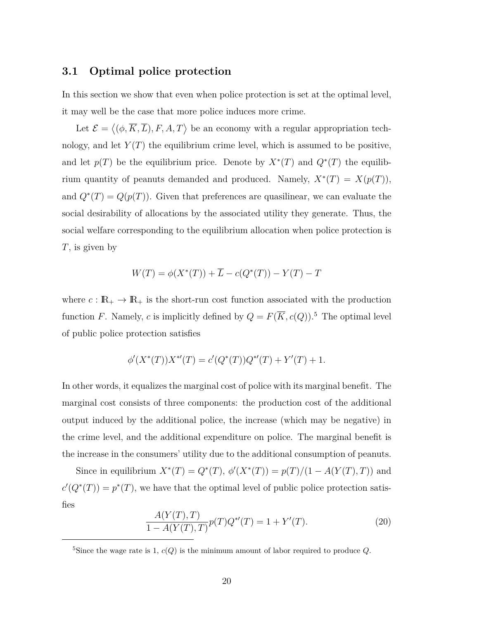#### **3.1** Optimal police protection

In this section we show that even when police protection is set at the optimal level, it may well be the case that more police induces more crime.

Let  $\mathcal{E} = \langle (\phi, \overline{K}, \overline{L}), F, A, T \rangle$  be an economy with a regular appropriation technology, and let  $Y(T)$  the equilibrium crime level, which is assumed to be positive. and let  $p(T)$  be the equilibrium price. Denote by  $X^*(T)$  and  $Q^*(T)$  the equilibrium quantity of peanuts demanded and produced. Namely,  $X^*(T) = X(p(T))$ , and  $Q^*(T) = Q(p(T))$ . Given that preferences are quasilinear, we can evaluate the social desirability of allocations by the associated utility they generate. Thus, the social welfare corresponding to the equilibrium allocation when police protection is  $T$ , is given by

$$
W(T) = \phi(X^*(T)) + \overline{L} - c(Q^*(T)) - Y(T) - T
$$

where  $c: \mathbb{R}_+ \to \mathbb{R}_+$  is the short-run cost function associated with the production function *F*. Namely, *c* is implicitly defined by  $Q = F(\overline{K}, c(Q))$ .<sup>5</sup> The optimal level of public police protection satisfies

$$
\phi'(X^*(T))X^{*\prime}(T) = c'(Q^*(T))Q^{*\prime}(T) + Y'(T) + 1.
$$

In other words, it equalizes the marginal cost of police with its marginal benefit. The marginal cost consists of three components: the production cost of the additional output induced by the additional police, the increase (which may be negative) in the crime level, and the additional expenditure on police. The marginal benefit is the increase in the consumers' utility due to the additional consumption of peanuts.

Since in equilibrium  $X^*(T) = Q^*(T)$ ,  $\phi'(X^*(T)) = p(T)/(1 - A(Y(T), T))$  and  $c'(Q^*(T)) = p^*(T)$ , we have that the optimal level of public police protection satisfies

$$
\frac{A(Y(T),T)}{1 - A(Y(T),T)} p(T)Q^{*'}(T) = 1 + Y'(T). \tag{20}
$$

<sup>&</sup>lt;sup>5</sup>Since the wage rate is 1,  $c(Q)$  is the minimum amount of labor required to produce  $Q$ .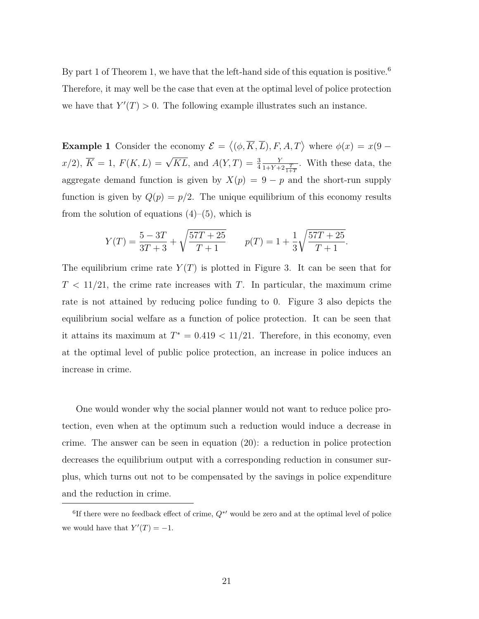By part 1 of Theorem 1, we have that the left-hand side of this equation is positive.<sup>6</sup> Therefore, it may well be the case that even at the optimal level of police protection we have that  $Y'(T) > 0$ . The following example illustrates such an instance.

**Example 1** Consider the economy  $\mathcal{E} = \langle (\phi, \overline{K}, \overline{L}), F, A, T \rangle$  where  $\phi(x) = x(9 - x)$  $x/2$ ,  $\overline{K} = 1$ ,  $F(K, L) = \sqrt{KL}$ , and  $A(Y, T) = \frac{3}{4}$ *Y*  $\frac{Y}{1+Y+2\frac{T}{1+T}}$ . With these data, the aggregate demand function is given by  $X(p) = 9 - p$  and the short-run supply function is given by  $Q(p) = p/2$ . The unique equilibrium of this economy results from the solution of equations  $(4)-(5)$ , which is

$$
Y(T) = \frac{5 - 3T}{3T + 3} + \sqrt{\frac{57T + 25}{T + 1}} \qquad p(T) = 1 + \frac{1}{3} \sqrt{\frac{57T + 25}{T + 1}}.
$$

The equilibrium crime rate  $Y(T)$  is plotted in Figure 3. It can be seen that for  $T < 11/21$ , the crime rate increases with T. In particular, the maximum crime rate is not attained by reducing police funding to 0. Figure 3 also depicts the equilibrium social welfare as a function of police protection. It can be seen that it attains its maximum at  $T^* = 0.419 < 11/21$ . Therefore, in this economy, even at the optimal level of public police protection, an increase in police induces an increase in crime.

One would wonder why the social planner would not want to reduce police protection, even when at the optimum such a reduction would induce a decrease in crime. The answer can be seen in equation  $(20)$ : a reduction in police protection decreases the equilibrium output with a corresponding reduction in consumer surplus, which turns out not to be compensated by the savings in police expenditure and the reduction in crime.

<sup>&</sup>lt;sup>6</sup>If there were no feedback effect of crime,  $Q^*$ ' would be zero and at the optimal level of police we would have that  $Y'(T) = -1$ .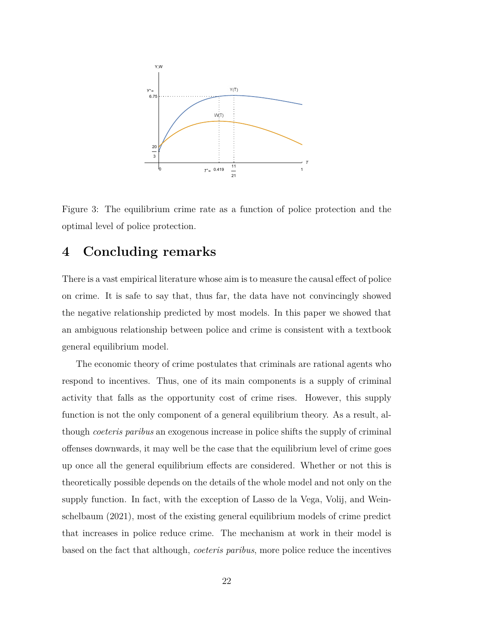

Figure 3: The equilibrium crime rate as a function of police protection and the optimal level of police protection.

### **4** Concluding remarks

There is a vast empirical literature whose aim is to measure the causal effect of police on crime. It is safe to say that, thus far, the data have not convincingly showed the negative relationship predicted by most models. In this paper we showed that an ambiguous relationship between police and crime is consistent with a textbook general equilibrium model.

The economic theory of crime postulates that criminals are rational agents who respond to incentives. Thus, one of its main components is a supply of criminal activity that falls as the opportunity cost of crime rises. However, this supply function is not the only component of a general equilibrium theory. As a result, although *coeteris paribus* an exogenous increase in police shifts the supply of criminal offenses downwards, it may well be the case that the equilibrium level of crime goes up once all the general equilibrium effects are considered. Whether or not this is theoretically possible depends on the details of the whole model and not only on the supply function. In fact, with the exception of Lasso de la Vega, Volij, and Weinschelbaum  $(2021)$ , most of the existing general equilibrium models of crime predict that increases in police reduce crime. The mechanism at work in their model is based on the fact that although, *coeteris paribus*, more police reduce the incentives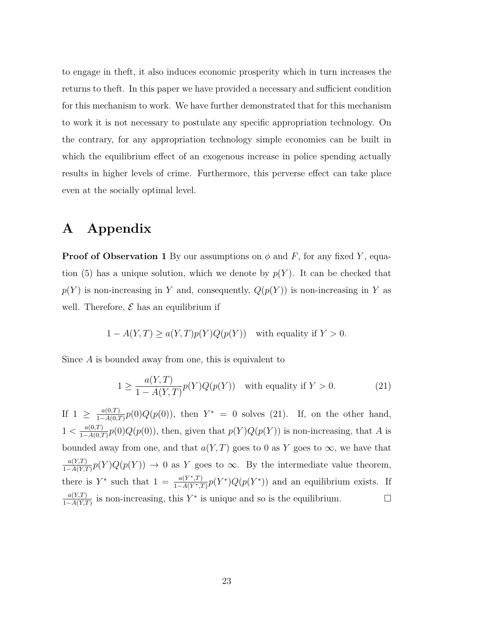to engage in the ft, it also induces economic prosperity which in turn increases the returns to the ft. In this paper we have provided a necessary and sufficient condition for this mechanism to work. We have further demonstrated that for this mechanism to work it is not necessary to postulate any specific appropriation technology. On the contrary, for any appropriation technology simple economies can be built in which the equilibrium effect of an exogenous increase in police spending actually results in higher levels of crime. Furthermore, this perverse effect can take place even at the socially optimal level.

## **A** Appendix

**Proof of Observation 1** By our assumptions on  $\phi$  and F, for any fixed Y, equation (5) has a unique solution, which we denote by  $p(Y)$ . It can be checked that  $p(Y)$  is non-increasing in Y and, consequently,  $Q(p(Y))$  is non-increasing in Y as well. Therefore,  $\mathcal E$  has an equilibrium if

$$
1 - A(Y, T) \ge a(Y, T)p(Y)Q(p(Y)) \text{ with equality if } Y > 0.
$$

Since  $A$  is bounded away from one, this is equivalent to

$$
1 \ge \frac{a(Y,T)}{1 - A(Y,T)} p(Y) Q(p(Y)) \quad \text{with equality if } Y > 0.
$$
 (21)

If 1 ≥  $\frac{a(0,T)}{1-A(0,T)}p(0)Q(p(0))$ , then  $Y^* = 0$  solves (21). If, on the other hand,  $1 < \frac{a(0,T)}{1-A(0,T)}p(0)Q(p(0))$ , then, given that  $p(Y)Q(p(Y))$  is non-increasing, that A is bounded away from one, and that  $a(Y, T)$  goes to 0 as Y goes to  $\infty$ , we have that  $\frac{a(Y,T)}{1-A(Y,T)}p(Y)Q(p(Y)) \to 0$  as *Y* goes to  $\infty$ . By the intermediate value theorem, there is  $Y^*$  such that  $1 = \frac{a(Y^*,T)}{1-A(Y^*,T)} p(Y^*) Q(p(Y^*))$  and an equilibrium exists. If  $\frac{a(Y,T)}{1-A(Y,T)}$  is non-increasing, this Y<sup>\*</sup> is unique and so is the equilibrium.  $□$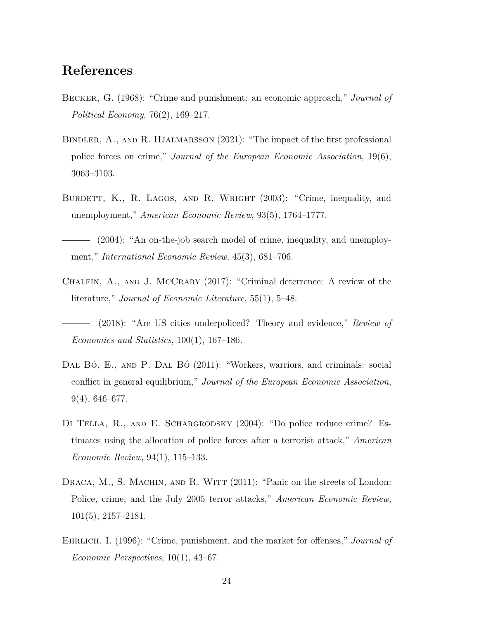## $References$

- BECKER, G. (1968): "Crime and punishment: an economic approach," *Journal of Political Economy*, 76(2), 169–217.
- BINDLER, A., AND R. HJALMARSSON  $(2021)$ : "The impact of the first professional police forces on crime," *Journal of the European Economic Association*, 19(6), 3063-3103.
- BURDETT, K., R. LAGOS, AND R. WRIGHT (2003): "Crime, inequality, and unemployment," *American Economic Review*, 93(5), 1764–1777.
- $-$  (2004): "An on-the-job search model of crime, inequality, and unemployment," *International Economic Review*, 45(3), 681–706.
- CHALFIN,  $A_{\cdot}$ , and J. MCCRARY (2017): "Criminal deterrence: A review of the literature," *Journal of Economic Literature*, 55(1), 5–48.

(2018): "Are US cities underpoliced? Theory and evidence," *Review of*  $Economics$  and Statistics,  $100(1)$ ,  $167-186$ .

- DAL BÓ, E., AND P. DAL BÓ (2011): "Workers, warriors, and criminals: social  $\alpha$  conflict in general equilibrium," *Journal of the European Economic Association*,  $9(4)$ , 646-677.
- DI TELLA, R., AND E. SCHARGRODSKY  $(2004)$ : "Do police reduce crime? Estimates using the allocation of police forces after a terrorist attack," *American Economic Review*, 94(1), 115–133.
- DRACA, M., S. MACHIN, AND R. WITT  $(2011)$ : "Panic on the streets of London: Police, crime, and the July 2005 terror attacks," *American Economic Review*,  $101(5)$ ,  $2157-2181$ .
- EHRLICH, I. (1996): "Crime, punishment, and the market for offenses," *Journal of*  $Economic$  *Perspectives*,  $10(1)$ , 43–67.